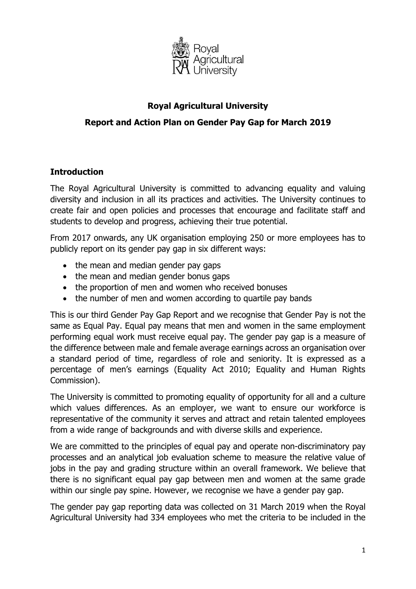

## **Royal Agricultural University**

### **Report and Action Plan on Gender Pay Gap for March 2019**

### **Introduction**

The Royal Agricultural University is committed to advancing equality and valuing diversity and inclusion in all its practices and activities. The University continues to create fair and open policies and processes that encourage and facilitate staff and students to develop and progress, achieving their true potential.

From 2017 onwards, any UK organisation employing 250 or more employees has to publicly report on its gender pay gap in six different ways:

- the mean and median gender pay gaps
- the mean and median gender bonus gaps
- the proportion of men and women who received bonuses
- the number of men and women according to quartile pay bands

 percentage of men's earnings (Equality Act 2010; Equality and Human Rights This is our third Gender Pay Gap Report and we recognise that Gender Pay is not the same as Equal Pay. Equal pay means that men and women in the same employment performing equal work must receive equal pay. The gender pay gap is a measure of the difference between male and female average earnings across an organisation over a standard period of time, regardless of role and seniority. It is expressed as a Commission).

The University is committed to promoting equality of opportunity for all and a culture which values differences. As an employer, we want to ensure our workforce is representative of the community it serves and attract and retain talented employees from a wide range of backgrounds and with diverse skills and experience.

We are committed to the principles of equal pay and operate non-discriminatory pay processes and an analytical job evaluation scheme to measure the relative value of jobs in the pay and grading structure within an overall framework. We believe that there is no significant equal pay gap between men and women at the same grade within our single pay spine. However, we recognise we have a gender pay gap.

The gender pay gap reporting data was collected on 31 March 2019 when the Royal Agricultural University had 334 employees who met the criteria to be included in the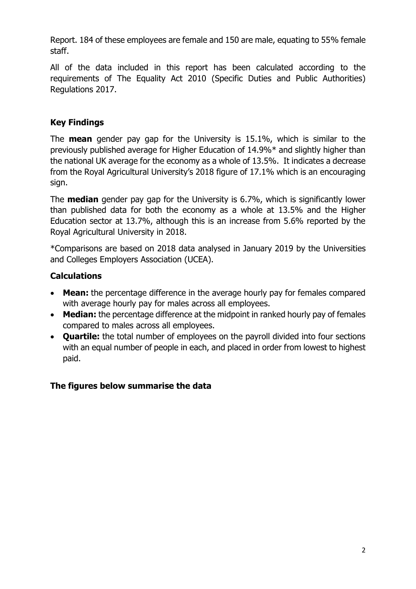Report. 184 of these employees are female and 150 are male, equating to 55% female staff.

All of the data included in this report has been calculated according to the requirements of The Equality Act 2010 (Specific Duties and Public Authorities) Regulations 2017.

## **Key Findings**

 from the Royal Agricultural University's 2018 figure of 17.1% which is an encouraging The **mean** gender pay gap for the University is 15.1%, which is similar to the previously published average for Higher Education of 14.9%\* and slightly higher than the national UK average for the economy as a whole of 13.5%. It indicates a decrease sign.

The **median** gender pay gap for the University is 6.7%, which is significantly lower than published data for both the economy as a whole at 13.5% and the Higher Education sector at 13.7%, although this is an increase from 5.6% reported by the Royal Agricultural University in 2018.

\*Comparisons are based on 2018 data analysed in January 2019 by the Universities and Colleges Employers Association (UCEA).

### **Calculations**

- **Mean:** the percentage difference in the average hourly pay for females compared with average hourly pay for males across all employees.
- **Median:** the percentage difference at the midpoint in ranked hourly pay of females compared to males across all employees.
- **Quartile:** the total number of employees on the payroll divided into four sections with an equal number of people in each, and placed in order from lowest to highest paid.

### **The figures below summarise the data**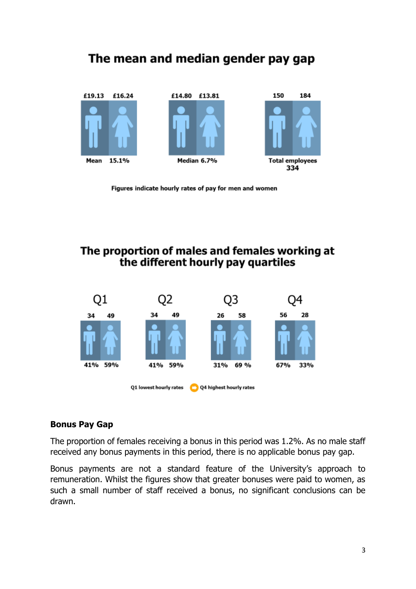# The mean and median gender pay gap



Figures indicate hourly rates of pay for men and women

# The proportion of males and females working at the different hourly pay quartiles



#### **Bonus Pay Gap**

The proportion of females receiving a bonus in this period was 1.2%. As no male staff received any bonus payments in this period, there is no applicable bonus pay gap.

 Bonus payments are not a standard feature of the University's approach to remuneration. Whilst the figures show that greater bonuses were paid to women, as such a small number of staff received a bonus, no significant conclusions can be drawn.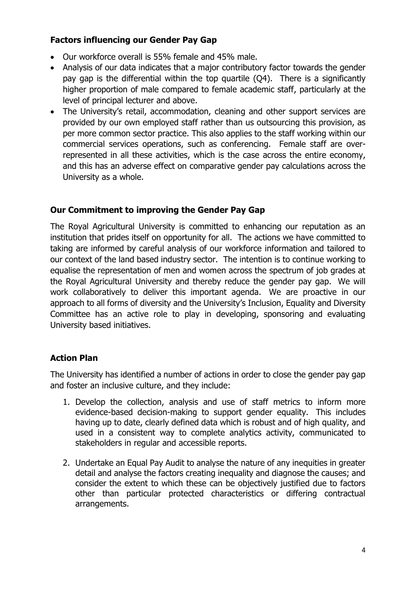### **Factors influencing our Gender Pay Gap**

- Our workforce overall is 55% female and 45% male.
- Analysis of our data indicates that a major contributory factor towards the gender pay gap is the differential within the top quartile (Q4). There is a significantly higher proportion of male compared to female academic staff, particularly at the level of principal lecturer and above.
- The University's retail, accommodation, cleaning and other support services are provided by our own employed staff rather than us outsourcing this provision, as per more common sector practice. This also applies to the staff working within our commercial services operations, such as conferencing. Female staff are overrepresented in all these activities, which is the case across the entire economy, and this has an adverse effect on comparative gender pay calculations across the University as a whole.

### **Our Commitment to improving the Gender Pay Gap**

The Royal Agricultural University is committed to enhancing our reputation as an institution that prides itself on opportunity for all. The actions we have committed to taking are informed by careful analysis of our workforce information and tailored to our context of the land based industry sector. The intention is to continue working to equalise the representation of men and women across the spectrum of job grades at the Royal Agricultural University and thereby reduce the gender pay gap. We will work collaboratively to deliver this important agenda. We are proactive in our approach to all forms of diversity and the University's Inclusion, Equality and Diversity Committee has an active role to play in developing, sponsoring and evaluating University based initiatives.

### **Action Plan**

The University has identified a number of actions in order to close the gender pay gap and foster an inclusive culture, and they include:

- 1. Develop the collection, analysis and use of staff metrics to inform more evidence-based decision-making to support gender equality. This includes having up to date, clearly defined data which is robust and of high quality, and used in a consistent way to complete analytics activity, communicated to stakeholders in regular and accessible reports.
- 2. Undertake an Equal Pay Audit to analyse the nature of any inequities in greater detail and analyse the factors creating inequality and diagnose the causes; and consider the extent to which these can be objectively justified due to factors other than particular protected characteristics or differing contractual arrangements.